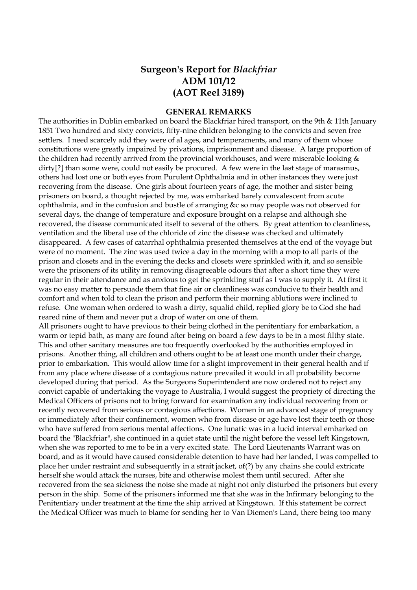## **Surgeon's Report for** *Blackfriar* **ADM 101/12 (AOT Reel 3189)**

## **GENERAL REMARKS**

The authorities in Dublin embarked on board the Blackfriar hired transport, on the 9th & 11th January 1851 Two hundred and sixty convicts, fifty-nine children belonging to the convicts and seven free settlers. I need scarcely add they were of al ages, and temperaments, and many of them whose constitutions were greatly impaired by privations, imprisonment and disease. A large proportion of the children had recently arrived from the provincial workhouses, and were miserable looking & dirty<sup>[?]</sup> than some were, could not easily be procured. A few were in the last stage of marasmus, others had lost one or both eyes from Purulent Ophthalmia and in other instances they were just recovering from the disease. One girls about fourteen years of age, the mother and sister being prisoners on board, a thought rejected by me, was embarked barely convalescent from acute ophthalmia, and in the confusion and bustle of arranging &c so may people was not observed for several days, the change of temperature and exposure brought on a relapse and although she recovered, the disease communicated itself to several of the others. By great attention to cleanliness, ventilation and the liberal use of the chloride of zinc the disease was checked and ultimately disappeared. A few cases of catarrhal ophthalmia presented themselves at the end of the voyage but were of no moment. The zinc was used twice a day in the morning with a mop to all parts of the prison and closets and in the evening the decks and closets were sprinkled with it, and so sensible were the prisoners of its utility in removing disagreeable odours that after a short time they were regular in their attendance and as anxious to get the sprinkling stuff as I was to supply it. At first it was no easy matter to persuade them that fine air or cleanliness was conducive to their health and comfort and when told to clean the prison and perform their morning ablutions were inclined to refuse. One woman when ordered to wash a dirty, squalid child, replied glory be to God she had reared nine of them and never put a drop of water on one of them.

All prisoners ought to have previous to their being clothed in the penitentiary for embarkation, a warm or tepid bath, as many are found after being on board a few days to be in a most filthy state. This and other sanitary measures are too frequently overlooked by the authorities employed in prisons. Another thing, all children and others ought to be at least one month under their charge, prior to embarkation. This would allow time for a slight improvement in their general health and if from any place where disease of a contagious nature prevailed it would in all probability become developed during that period. As the Surgeons Superintendent are now ordered not to reject any convict capable of undertaking the voyage to Australia, I would suggest the propriety of directing the Medical Officers of prisons not to bring forward for examination any individual recovering from or recently recovered from serious or contagious affections. Women in an advanced stage of pregnancy or immediately after their confinement, women who from disease or age have lost their teeth or those who have suffered from serious mental affections. One lunatic was in a lucid interval embarked on board the "Blackfriar", she continued in a quiet state until the night before the vessel left Kingstown, when she was reported to me to be in a very excited state. The Lord Lieutenants Warrant was on board, and as it would have caused considerable detention to have had her landed, I was compelled to place her under restraint and subsequently in a strait jacket, of(?) by any chains she could extricate herself she would attack the nurses, bite and otherwise molest them until secured. After she recovered from the sea sickness the noise she made at night not only disturbed the prisoners but every person in the ship. Some of the prisoners informed me that she was in the Infirmary belonging to the Penitentiary under treatment at the time the ship arrived at Kingstown. If this statement be correct the Medical Officer was much to blame for sending her to Van Diemen's Land, there being too many